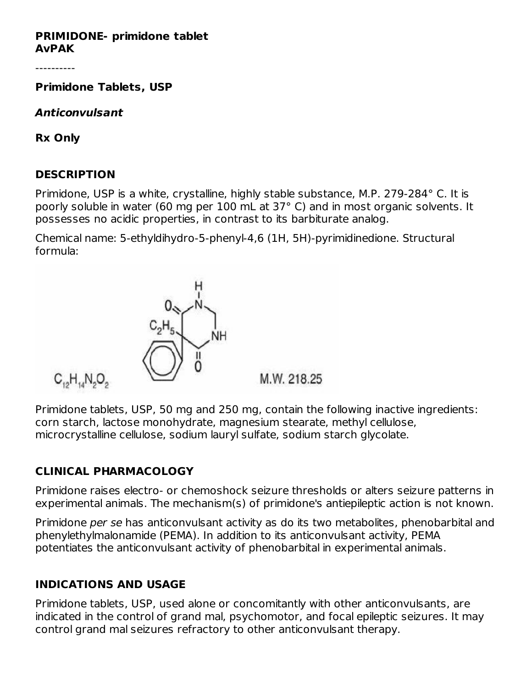#### **PRIMIDONE- primidone tablet AvPAK**

----------

**Primidone Tablets, USP**

**Anticonvulsant**

**Rx Only**

#### **DESCRIPTION**

Primidone, USP is a white, crystalline, highly stable substance, M.P. 279-284° C. It is poorly soluble in water (60 mg per 100 mL at 37° C) and in most organic solvents. It possesses no acidic properties, in contrast to its barbiturate analog.

Chemical name: 5-ethyldihydro-5-phenyl-4,6 (1H, 5H)-pyrimidinedione. Structural formula:



Primidone tablets, USP, 50 mg and 250 mg, contain the following inactive ingredients: corn starch, lactose monohydrate, magnesium stearate, methyl cellulose, microcrystalline cellulose, sodium lauryl sulfate, sodium starch glycolate.

# **CLINICAL PHARMACOLOGY**

Primidone raises electro- or chemoshock seizure thresholds or alters seizure patterns in experimental animals. The mechanism(s) of primidone's antiepileptic action is not known.

Primidone per se has anticonvulsant activity as do its two metabolites, phenobarbital and phenylethylmalonamide (PEMA). In addition to its anticonvulsant activity, PEMA potentiates the anticonvulsant activity of phenobarbital in experimental animals.

# **INDICATIONS AND USAGE**

Primidone tablets, USP, used alone or concomitantly with other anticonvulsants, are indicated in the control of grand mal, psychomotor, and focal epileptic seizures. It may control grand mal seizures refractory to other anticonvulsant therapy.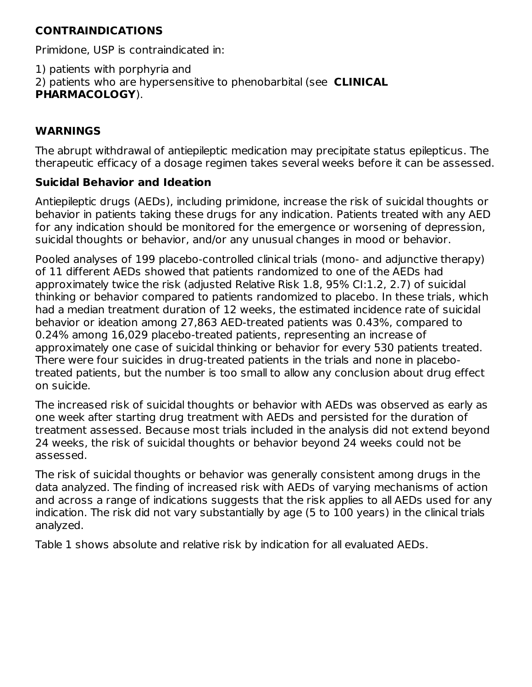# **CONTRAINDICATIONS**

Primidone, USP is contraindicated in:

1) patients with porphyria and

2) patients who are hypersensitive to phenobarbital (see **CLINICAL**

# **PHARMACOLOGY**).

## **WARNINGS**

The abrupt withdrawal of antiepileptic medication may precipitate status epilepticus. The therapeutic efficacy of a dosage regimen takes several weeks before it can be assessed.

#### **Suicidal Behavior and Ideation**

Antiepileptic drugs (AEDs), including primidone, increase the risk of suicidal thoughts or behavior in patients taking these drugs for any indication. Patients treated with any AED for any indication should be monitored for the emergence or worsening of depression, suicidal thoughts or behavior, and/or any unusual changes in mood or behavior.

Pooled analyses of 199 placebo-controlled clinical trials (mono- and adjunctive therapy) of 11 different AEDs showed that patients randomized to one of the AEDs had approximately twice the risk (adjusted Relative Risk 1.8, 95% CI:1.2, 2.7) of suicidal thinking or behavior compared to patients randomized to placebo. In these trials, which had a median treatment duration of 12 weeks, the estimated incidence rate of suicidal behavior or ideation among 27,863 AED-treated patients was 0.43%, compared to 0.24% among 16,029 placebo-treated patients, representing an increase of approximately one case of suicidal thinking or behavior for every 530 patients treated. There were four suicides in drug-treated patients in the trials and none in placebotreated patients, but the number is too small to allow any conclusion about drug effect on suicide.

The increased risk of suicidal thoughts or behavior with AEDs was observed as early as one week after starting drug treatment with AEDs and persisted for the duration of treatment assessed. Because most trials included in the analysis did not extend beyond 24 weeks, the risk of suicidal thoughts or behavior beyond 24 weeks could not be assessed.

The risk of suicidal thoughts or behavior was generally consistent among drugs in the data analyzed. The finding of increased risk with AEDs of varying mechanisms of action and across a range of indications suggests that the risk applies to all AEDs used for any indication. The risk did not vary substantially by age (5 to 100 years) in the clinical trials analyzed.

Table 1 shows absolute and relative risk by indication for all evaluated AEDs.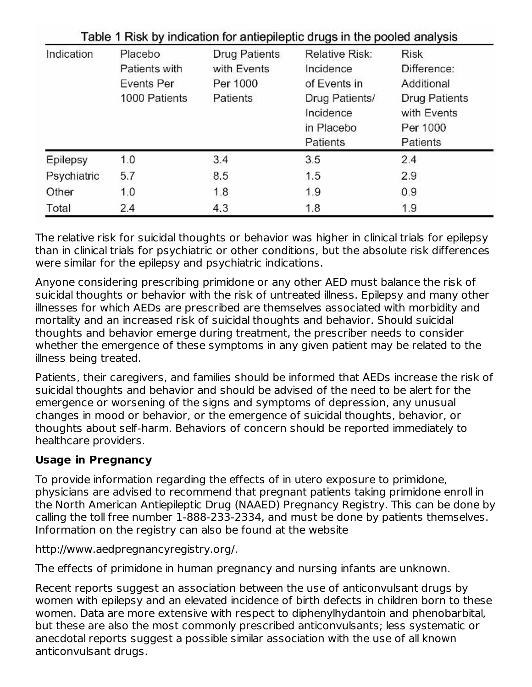| Indication  | Placebo       | <b>Drug Patients</b> | <b>Relative Risk:</b>                                 | <b>Risk</b>                                                 |
|-------------|---------------|----------------------|-------------------------------------------------------|-------------------------------------------------------------|
|             | Patients with | with Events          | Incidence                                             | Difference:                                                 |
|             | Events Per    | Per 1000             | of Events in                                          | Additional                                                  |
|             | 1000 Patients | Patients             | Drug Patients/<br>Incidence<br>in Placebo<br>Patients | <b>Drug Patients</b><br>with Events<br>Per 1000<br>Patients |
| Epilepsy    | 1.0           | 3.4                  | 3.5                                                   | 2.4                                                         |
| Psychiatric | 5.7           | 8.5                  | 1.5                                                   | 2.9                                                         |
| Other       | 1.0           | 1.8                  | 1.9                                                   | 0.9                                                         |
| Total       | 2.4           | 4.3                  | 1.8                                                   | 1.9                                                         |

The relative risk for suicidal thoughts or behavior was higher in clinical trials for epilepsy than in clinical trials for psychiatric or other conditions, but the absolute risk differences were similar for the epilepsy and psychiatric indications.

Anyone considering prescribing primidone or any other AED must balance the risk of suicidal thoughts or behavior with the risk of untreated illness. Epilepsy and many other illnesses for which AEDs are prescribed are themselves associated with morbidity and mortality and an increased risk of suicidal thoughts and behavior. Should suicidal thoughts and behavior emerge during treatment, the prescriber needs to consider whether the emergence of these symptoms in any given patient may be related to the illness being treated.

Patients, their caregivers, and families should be informed that AEDs increase the risk of suicidal thoughts and behavior and should be advised of the need to be alert for the emergence or worsening of the signs and symptoms of depression, any unusual changes in mood or behavior, or the emergence of suicidal thoughts, behavior, or thoughts about self-harm. Behaviors of concern should be reported immediately to healthcare providers.

# **Usage in Pregnancy**

To provide information regarding the effects of in utero exposure to primidone, physicians are advised to recommend that pregnant patients taking primidone enroll in the North American Antiepileptic Drug (NAAED) Pregnancy Registry. This can be done by calling the toll free number 1-888-233-2334, and must be done by patients themselves. Information on the registry can also be found at the website

http://www.aedpregnancyregistry.org/.

The effects of primidone in human pregnancy and nursing infants are unknown.

Recent reports suggest an association between the use of anticonvulsant drugs by women with epilepsy and an elevated incidence of birth defects in children born to these women. Data are more extensive with respect to diphenylhydantoin and phenobarbital, but these are also the most commonly prescribed anticonvulsants; less systematic or anecdotal reports suggest a possible similar association with the use of all known anticonvulsant drugs.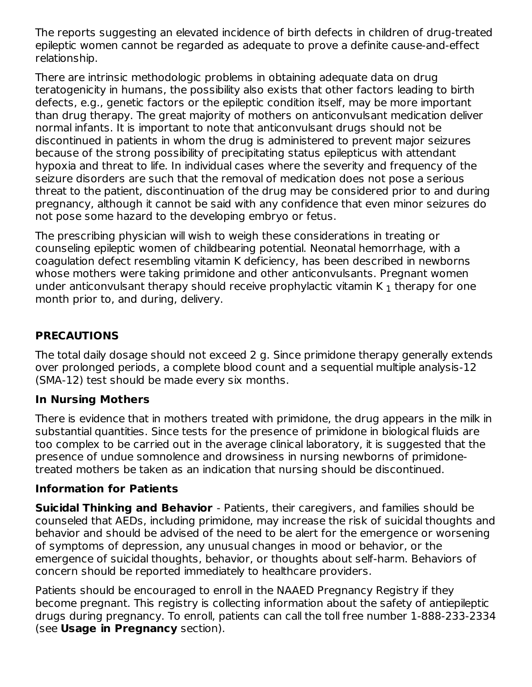The reports suggesting an elevated incidence of birth defects in children of drug-treated epileptic women cannot be regarded as adequate to prove a definite cause-and-effect relationship.

There are intrinsic methodologic problems in obtaining adequate data on drug teratogenicity in humans, the possibility also exists that other factors leading to birth defects, e.g., genetic factors or the epileptic condition itself, may be more important than drug therapy. The great majority of mothers on anticonvulsant medication deliver normal infants. It is important to note that anticonvulsant drugs should not be discontinued in patients in whom the drug is administered to prevent major seizures because of the strong possibility of precipitating status epilepticus with attendant hypoxia and threat to life. In individual cases where the severity and frequency of the seizure disorders are such that the removal of medication does not pose a serious threat to the patient, discontinuation of the drug may be considered prior to and during pregnancy, although it cannot be said with any confidence that even minor seizures do not pose some hazard to the developing embryo or fetus.

The prescribing physician will wish to weigh these considerations in treating or counseling epileptic women of childbearing potential. Neonatal hemorrhage, with a coagulation defect resembling vitamin K deficiency, has been described in newborns whose mothers were taking primidone and other anticonvulsants. Pregnant women under anticonvulsant therapy should receive prophylactic vitamin K  $_{\rm 1}$  therapy for one month prior to, and during, delivery.

## **PRECAUTIONS**

The total daily dosage should not exceed 2 g. Since primidone therapy generally extends over prolonged periods, a complete blood count and a sequential multiple analysis-12 (SMA-12) test should be made every six months.

# **In Nursing Mothers**

There is evidence that in mothers treated with primidone, the drug appears in the milk in substantial quantities. Since tests for the presence of primidone in biological fluids are too complex to be carried out in the average clinical laboratory, it is suggested that the presence of undue somnolence and drowsiness in nursing newborns of primidonetreated mothers be taken as an indication that nursing should be discontinued.

#### **Information for Patients**

**Suicidal Thinking and Behavior** - Patients, their caregivers, and families should be counseled that AEDs, including primidone, may increase the risk of suicidal thoughts and behavior and should be advised of the need to be alert for the emergence or worsening of symptoms of depression, any unusual changes in mood or behavior, or the emergence of suicidal thoughts, behavior, or thoughts about self-harm. Behaviors of concern should be reported immediately to healthcare providers.

Patients should be encouraged to enroll in the NAAED Pregnancy Registry if they become pregnant. This registry is collecting information about the safety of antiepileptic drugs during pregnancy. To enroll, patients can call the toll free number 1-888-233-2334 (see **Usage in Pregnancy** section).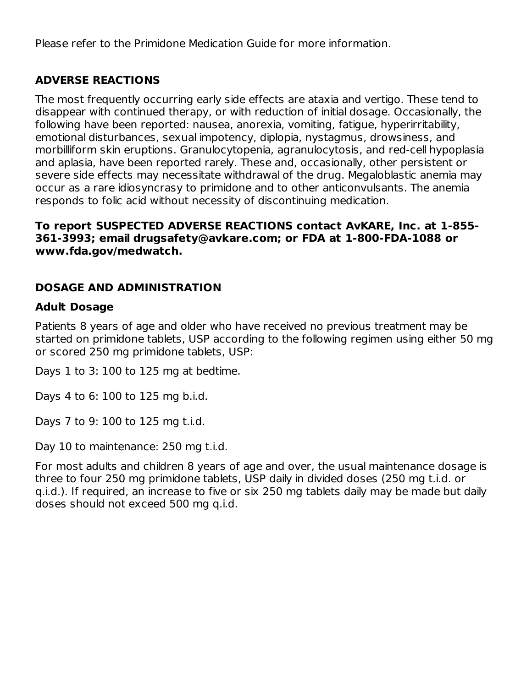Please refer to the Primidone Medication Guide for more information.

# **ADVERSE REACTIONS**

The most frequently occurring early side effects are ataxia and vertigo. These tend to disappear with continued therapy, or with reduction of initial dosage. Occasionally, the following have been reported: nausea, anorexia, vomiting, fatigue, hyperirritability, emotional disturbances, sexual impotency, diplopia, nystagmus, drowsiness, and morbilliform skin eruptions. Granulocytopenia, agranulocytosis, and red-cell hypoplasia and aplasia, have been reported rarely. These and, occasionally, other persistent or severe side effects may necessitate withdrawal of the drug. Megaloblastic anemia may occur as a rare idiosyncrasy to primidone and to other anticonvulsants. The anemia responds to folic acid without necessity of discontinuing medication.

#### **To report SUSPECTED ADVERSE REACTIONS contact AvKARE, Inc. at 1-855- 361-3993; email drugsafety@avkare.com; or FDA at 1-800-FDA-1088 or www.fda.gov/medwatch.**

# **DOSAGE AND ADMINISTRATION**

## **Adult Dosage**

Patients 8 years of age and older who have received no previous treatment may be started on primidone tablets, USP according to the following regimen using either 50 mg or scored 250 mg primidone tablets, USP:

Days 1 to 3: 100 to 125 mg at bedtime.

Days 4 to 6: 100 to 125 mg b.i.d.

Days 7 to 9: 100 to 125 mg t.i.d.

Day 10 to maintenance: 250 mg t.i.d.

For most adults and children 8 years of age and over, the usual maintenance dosage is three to four 250 mg primidone tablets, USP daily in divided doses (250 mg t.i.d. or q.i.d.). If required, an increase to five or six 250 mg tablets daily may be made but daily doses should not exceed 500 mg q.i.d.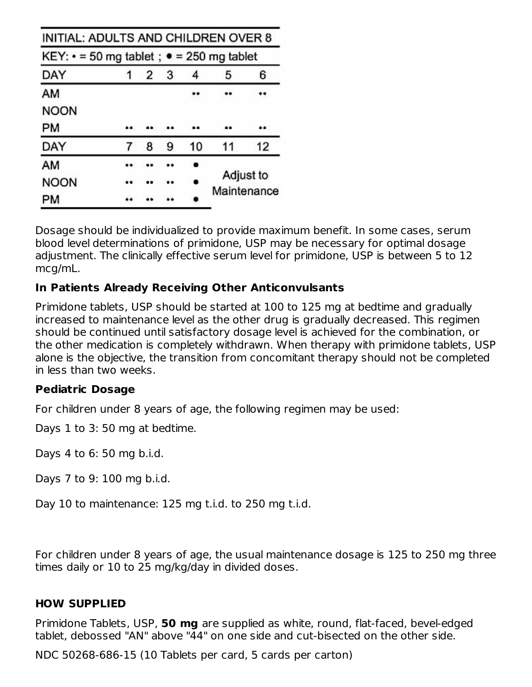| INITIAL: ADULTS AND CHILDREN OVER 8                  |   |   |    |                          |    |
|------------------------------------------------------|---|---|----|--------------------------|----|
| KEY: $\cdot$ = 50 mg tablet; $\cdot$ = 250 mg tablet |   |   |    |                          |    |
| DAY                                                  | 2 | 3 |    | 5                        | 6  |
| AM                                                   |   |   |    |                          |    |
| <b>NOON</b>                                          |   |   |    |                          |    |
| PМ                                                   |   |   |    |                          |    |
| DAY                                                  | 8 | 9 | 10 | 11                       | 12 |
| AM                                                   |   |   |    |                          |    |
| NOON                                                 |   |   |    | Adjust to<br>Maintenance |    |
| PM                                                   |   |   |    |                          |    |

Dosage should be individualized to provide maximum benefit. In some cases, serum blood level determinations of primidone, USP may be necessary for optimal dosage adjustment. The clinically effective serum level for primidone, USP is between 5 to 12 mcg/mL.

## **In Patients Already Receiving Other Anticonvulsants**

Primidone tablets, USP should be started at 100 to 125 mg at bedtime and gradually increased to maintenance level as the other drug is gradually decreased. This regimen should be continued until satisfactory dosage level is achieved for the combination, or the other medication is completely withdrawn. When therapy with primidone tablets, USP alone is the objective, the transition from concomitant therapy should not be completed in less than two weeks.

#### **Pediatric Dosage**

For children under 8 years of age, the following regimen may be used:

Days 1 to 3: 50 mg at bedtime.

Days 4 to 6: 50 mg b.i.d.

Days 7 to 9: 100 mg b.i.d.

Day 10 to maintenance: 125 mg t.i.d. to 250 mg t.i.d.

For children under 8 years of age, the usual maintenance dosage is 125 to 250 mg three times daily or 10 to 25 mg/kg/day in divided doses.

#### **HOW SUPPLIED**

Primidone Tablets, USP, **50 mg** are supplied as white, round, flat-faced, bevel-edged tablet, debossed "AN" above "44" on one side and cut-bisected on the other side.

NDC 50268-686-15 (10 Tablets per card, 5 cards per carton)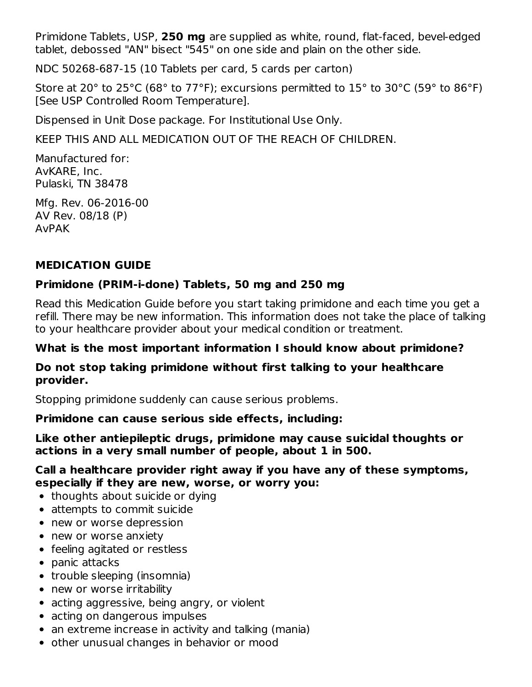Primidone Tablets, USP, **250 mg** are supplied as white, round, flat-faced, bevel-edged tablet, debossed "AN" bisect "545" on one side and plain on the other side.

NDC 50268-687-15 (10 Tablets per card, 5 cards per carton)

Store at 20° to 25°C (68° to 77°F); excursions permitted to 15° to 30°C (59° to 86°F) [See USP Controlled Room Temperature].

Dispensed in Unit Dose package. For Institutional Use Only.

KEEP THIS AND ALL MEDICATION OUT OF THE REACH OF CHILDREN.

Manufactured for: AvKARE, Inc. Pulaski, TN 38478

Mfg. Rev. 06-2016-00 AV Rev. 08/18 (P) AvPAK

# **MEDICATION GUIDE**

# **Primidone (PRIM-i-done) Tablets, 50 mg and 250 mg**

Read this Medication Guide before you start taking primidone and each time you get a refill. There may be new information. This information does not take the place of talking to your healthcare provider about your medical condition or treatment.

#### **What is the most important information I should know about primidone?**

#### **Do not stop taking primidone without first talking to your healthcare provider.**

Stopping primidone suddenly can cause serious problems.

# **Primidone can cause serious side effects, including:**

#### **Like other antiepileptic drugs, primidone may cause suicidal thoughts or actions in a very small number of people, about 1 in 500.**

#### **Call a healthcare provider right away if you have any of these symptoms, especially if they are new, worse, or worry you:**

- thoughts about suicide or dying
- attempts to commit suicide
- new or worse depression
- new or worse anxiety
- feeling agitated or restless
- panic attacks
- trouble sleeping (insomnia)
- new or worse irritability
- acting aggressive, being angry, or violent
- acting on dangerous impulses
- an extreme increase in activity and talking (mania)
- other unusual changes in behavior or mood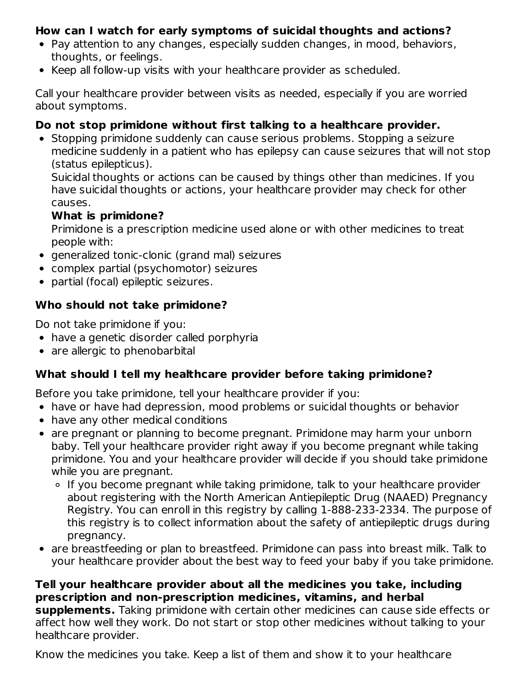#### **How can I watch for early symptoms of suicidal thoughts and actions?**

- Pay attention to any changes, especially sudden changes, in mood, behaviors, thoughts, or feelings.
- Keep all follow-up visits with your healthcare provider as scheduled.

Call your healthcare provider between visits as needed, especially if you are worried about symptoms.

# **Do not stop primidone without first talking to a healthcare provider.**

• Stopping primidone suddenly can cause serious problems. Stopping a seizure medicine suddenly in a patient who has epilepsy can cause seizures that will not stop (status epilepticus).

Suicidal thoughts or actions can be caused by things other than medicines. If you have suicidal thoughts or actions, your healthcare provider may check for other causes.

#### **What is primidone?**

Primidone is a prescription medicine used alone or with other medicines to treat people with:

- generalized tonic-clonic (grand mal) seizures
- complex partial (psychomotor) seizures
- partial (focal) epileptic seizures.

#### **Who should not take primidone?**

Do not take primidone if you:

- have a genetic disorder called porphyria
- are allergic to phenobarbital

# **What should I tell my healthcare provider before taking primidone?**

Before you take primidone, tell your healthcare provider if you:

- have or have had depression, mood problems or suicidal thoughts or behavior
- have any other medical conditions
- are pregnant or planning to become pregnant. Primidone may harm your unborn baby. Tell your healthcare provider right away if you become pregnant while taking primidone. You and your healthcare provider will decide if you should take primidone while you are pregnant.
	- If you become pregnant while taking primidone, talk to your healthcare provider about registering with the North American Antiepileptic Drug (NAAED) Pregnancy Registry. You can enroll in this registry by calling 1-888-233-2334. The purpose of this registry is to collect information about the safety of antiepileptic drugs during pregnancy.
- are breastfeeding or plan to breastfeed. Primidone can pass into breast milk. Talk to your healthcare provider about the best way to feed your baby if you take primidone.

# **Tell your healthcare provider about all the medicines you take, including prescription and non-prescription medicines, vitamins, and herbal**

**supplements.** Taking primidone with certain other medicines can cause side effects or affect how well they work. Do not start or stop other medicines without talking to your healthcare provider.

Know the medicines you take. Keep a list of them and show it to your healthcare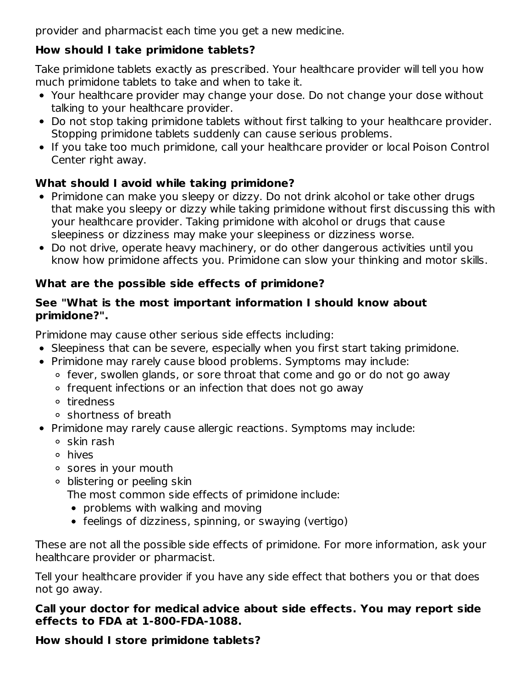provider and pharmacist each time you get a new medicine.

# **How should I take primidone tablets?**

Take primidone tablets exactly as prescribed. Your healthcare provider will tell you how much primidone tablets to take and when to take it.

- Your healthcare provider may change your dose. Do not change your dose without talking to your healthcare provider.
- Do not stop taking primidone tablets without first talking to your healthcare provider. Stopping primidone tablets suddenly can cause serious problems.
- If you take too much primidone, call your healthcare provider or local Poison Control Center right away.

# **What should I avoid while taking primidone?**

- Primidone can make you sleepy or dizzy. Do not drink alcohol or take other drugs that make you sleepy or dizzy while taking primidone without first discussing this with your healthcare provider. Taking primidone with alcohol or drugs that cause sleepiness or dizziness may make your sleepiness or dizziness worse.
- Do not drive, operate heavy machinery, or do other dangerous activities until you know how primidone affects you. Primidone can slow your thinking and motor skills.

# **What are the possible side effects of primidone?**

#### **See "What is the most important information I should know about primidone?".**

Primidone may cause other serious side effects including:

- Sleepiness that can be severe, especially when you first start taking primidone.
- Primidone may rarely cause blood problems. Symptoms may include:
	- fever, swollen glands, or sore throat that come and go or do not go away
	- frequent infections or an infection that does not go away
	- tiredness
	- shortness of breath
- Primidone may rarely cause allergic reactions. Symptoms may include:
	- $\circ$  skin rash
	- hives
	- sores in your mouth
	- blistering or peeling skin

The most common side effects of primidone include:

- problems with walking and moving
- feelings of dizziness, spinning, or swaying (vertigo)

These are not all the possible side effects of primidone. For more information, ask your healthcare provider or pharmacist.

Tell your healthcare provider if you have any side effect that bothers you or that does not go away.

# **Call your doctor for medical advice about side effects. You may report side effects to FDA at 1-800-FDA-1088.**

# **How should I store primidone tablets?**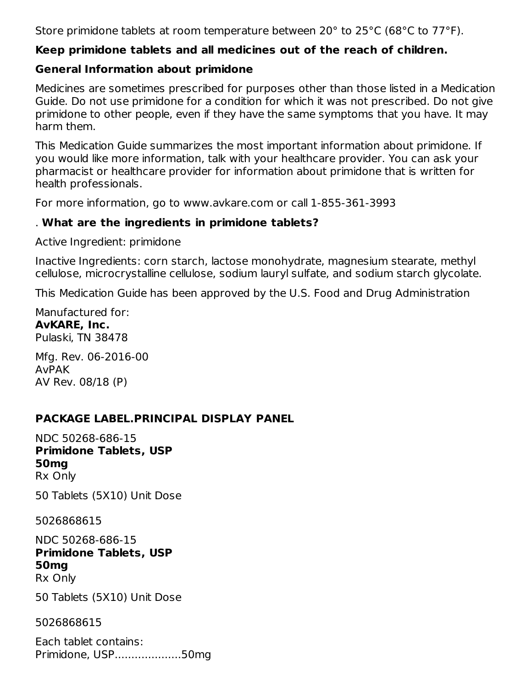Store primidone tablets at room temperature between 20° to 25°C (68°C to 77°F).

#### **Keep primidone tablets and all medicines out of the reach of children.**

#### **General Information about primidone**

Medicines are sometimes prescribed for purposes other than those listed in a Medication Guide. Do not use primidone for a condition for which it was not prescribed. Do not give primidone to other people, even if they have the same symptoms that you have. It may harm them.

This Medication Guide summarizes the most important information about primidone. If you would like more information, talk with your healthcare provider. You can ask your pharmacist or healthcare provider for information about primidone that is written for health professionals.

For more information, go to www.avkare.com or call 1-855-361-3993

#### . **What are the ingredients in primidone tablets?**

Active Ingredient: primidone

Inactive Ingredients: corn starch, lactose monohydrate, magnesium stearate, methyl cellulose, microcrystalline cellulose, sodium lauryl sulfate, and sodium starch glycolate.

This Medication Guide has been approved by the U.S. Food and Drug Administration

Manufactured for: **AvKARE, Inc.** Pulaski, TN 38478

Mfg. Rev. 06-2016-00 AvPAK AV Rev. 08/18 (P)

# **PACKAGE LABEL.PRINCIPAL DISPLAY PANEL**

NDC 50268-686-15 **Primidone Tablets, USP 50mg** Rx Only

50 Tablets (5X10) Unit Dose

5026868615

NDC 50268-686-15 **Primidone Tablets, USP 50mg** Rx Only

50 Tablets (5X10) Unit Dose

5026868615

Each tablet contains: Primidone, USP....................50mg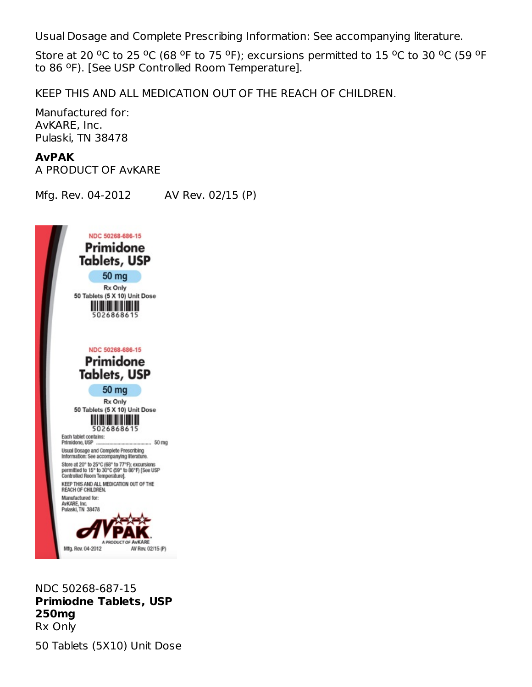Usual Dosage and Complete Prescribing Information: See accompanying literature.

Store at 20 <sup>o</sup>C to 25 <sup>o</sup>C (68 <sup>o</sup>F to 75 <sup>o</sup>F); excursions permitted to 15 <sup>o</sup>C to 30 <sup>o</sup>C (59 <sup>o</sup>F to 86 °F). [See USP Controlled Room Temperature].

KEEP THIS AND ALL MEDICATION OUT OF THE REACH OF CHILDREN.

Manufactured for: AvKARE, Inc. Pulaski, TN 38478

#### **AvPAK**

A PRODUCT OF AvKARE

Mfg. Rev. 04-2012 AV Rev. 02/15 (P)



NDC 50268-687-15 **Primiodne Tablets, USP 250mg** Rx Only

50 Tablets (5X10) Unit Dose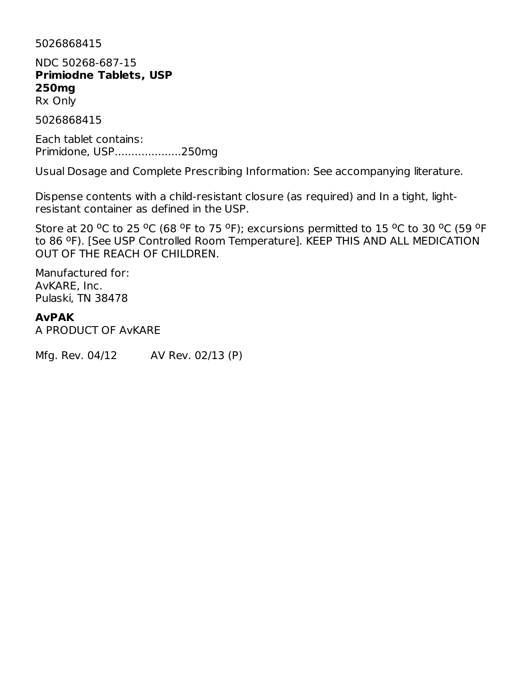5026868415

NDC 50268-687-15 **Primiodne Tablets, USP 250mg**

Rx Only

5026868415

Each tablet contains: Primidone, USP....................250mg

Usual Dosage and Complete Prescribing Information: See accompanying literature.

Dispense contents with a child-resistant closure (as required) and In a tight, lightresistant container as defined in the USP.

Store at 20 <sup>o</sup>C to 25 <sup>o</sup>C (68 <sup>o</sup>F to 75 <sup>o</sup>F); excursions permitted to 15 <sup>o</sup>C to 30 <sup>o</sup>C (59 <sup>o</sup>F to 86 °F). [See USP Controlled Room Temperature]. KEEP THIS AND ALL MEDICATION OUT OF THE REACH OF CHILDREN.

Manufactured for: AvKARE, Inc. Pulaski, TN 38478

#### **AvPAK**

A PRODUCT OF AvKARE

Mfg. Rev. 04/12 AV Rev. 02/13 (P)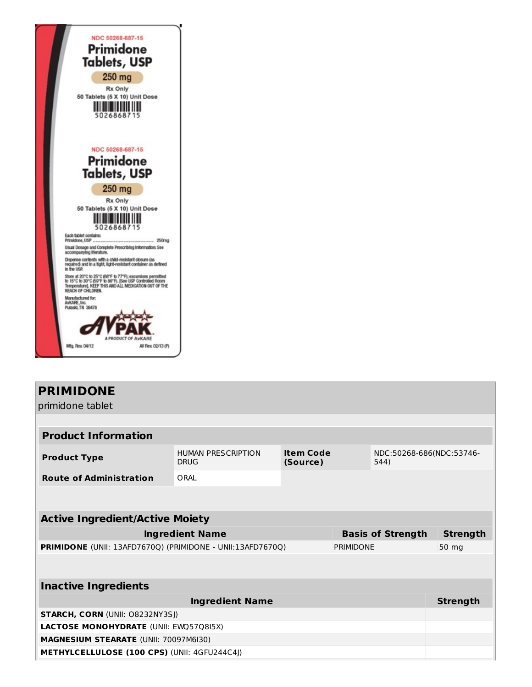

# **PRIMIDONE**

primidone tablet

| <b>Product Information</b>                                        |                                          |                              |       |                                  |                 |  |  |
|-------------------------------------------------------------------|------------------------------------------|------------------------------|-------|----------------------------------|-----------------|--|--|
| <b>Product Type</b>                                               | <b>HUMAN PRESCRIPTION</b><br><b>DRUG</b> | <b>Item Code</b><br>(Source) |       | NDC:50268-686(NDC:53746-<br>544) |                 |  |  |
| <b>Route of Administration</b>                                    | ORAL                                     |                              |       |                                  |                 |  |  |
|                                                                   |                                          |                              |       |                                  |                 |  |  |
|                                                                   |                                          |                              |       |                                  |                 |  |  |
| <b>Active Ingredient/Active Moiety</b>                            |                                          |                              |       |                                  |                 |  |  |
|                                                                   | <b>Ingredient Name</b>                   |                              |       | <b>Basis of Strength</b>         | <b>Strength</b> |  |  |
| <b>PRIMIDONE</b> (UNII: 13AFD7670Q) (PRIMIDONE - UNII:13AFD7670Q) | <b>PRIMIDONE</b>                         |                              | 50 mg |                                  |                 |  |  |
|                                                                   |                                          |                              |       |                                  |                 |  |  |
| <b>Inactive Ingredients</b>                                       |                                          |                              |       |                                  |                 |  |  |
|                                                                   | <b>Ingredient Name</b>                   |                              |       |                                  | <b>Strength</b> |  |  |
| <b>STARCH, CORN (UNII: O8232NY3SJ)</b>                            |                                          |                              |       |                                  |                 |  |  |
| <b>LACTOSE MONOHYDRATE (UNII: EWO5708I5X)</b>                     |                                          |                              |       |                                  |                 |  |  |
| MAGNESIUM STEARATE (UNII: 70097M6I30)                             |                                          |                              |       |                                  |                 |  |  |
| <b>METHYLCELLULOSE (100 CPS) (UNII: 4GFU244C4J)</b>               |                                          |                              |       |                                  |                 |  |  |
|                                                                   |                                          |                              |       |                                  |                 |  |  |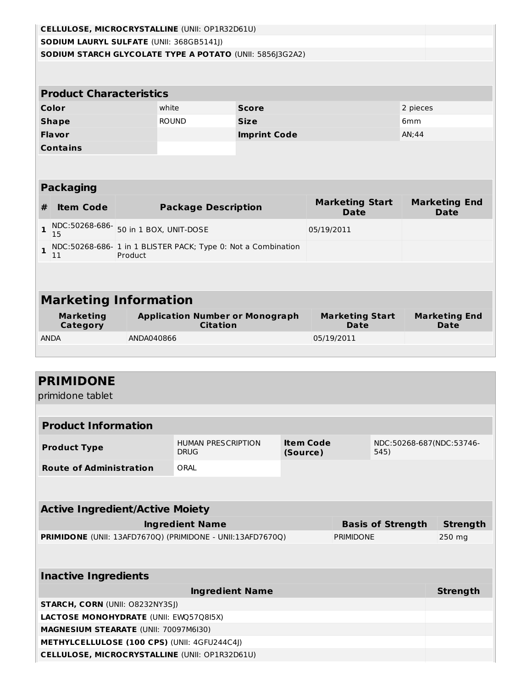|              | <b>CELLULOSE, MICROCRYSTALLINE (UNII: OP1R32D61U)</b> |            |                            |                                                              |                                       |                                     |  |  |
|--------------|-------------------------------------------------------|------------|----------------------------|--------------------------------------------------------------|---------------------------------------|-------------------------------------|--|--|
|              | SODIUM LAURYL SULFATE (UNII: 368GB5141J)              |            |                            |                                                              |                                       |                                     |  |  |
|              |                                                       |            |                            | SODIUM STARCH GLYCOLATE TYPE A POTATO (UNII: 5856J3G2A2)     |                                       |                                     |  |  |
|              |                                                       |            |                            |                                                              |                                       |                                     |  |  |
|              | <b>Product Characteristics</b>                        |            |                            |                                                              |                                       |                                     |  |  |
|              | Color                                                 |            | white                      | <b>Score</b>                                                 |                                       | 2 pieces                            |  |  |
|              | <b>Shape</b>                                          |            | <b>ROUND</b>               | <b>Size</b>                                                  |                                       | 6 <sub>mm</sub>                     |  |  |
|              | Flavor                                                |            |                            | <b>Imprint Code</b>                                          |                                       | AN;44                               |  |  |
|              | <b>Contains</b>                                       |            |                            |                                                              |                                       |                                     |  |  |
|              |                                                       |            |                            |                                                              |                                       |                                     |  |  |
|              |                                                       |            |                            |                                                              |                                       |                                     |  |  |
|              | <b>Packaging</b>                                      |            |                            |                                                              |                                       |                                     |  |  |
| #            | <b>Item Code</b>                                      |            | <b>Package Description</b> |                                                              | <b>Marketing Start</b><br><b>Date</b> | <b>Marketing End</b><br><b>Date</b> |  |  |
| $\mathbf{1}$ | NDC:50268-686-<br>15                                  |            | 50 in 1 BOX, UNIT-DOSE     |                                                              | 05/19/2011                            |                                     |  |  |
| $\mathbf{1}$ | 11                                                    | Product    |                            | NDC:50268-686-1 in 1 BLISTER PACK; Type 0: Not a Combination |                                       |                                     |  |  |
|              |                                                       |            |                            |                                                              |                                       |                                     |  |  |
|              |                                                       |            |                            |                                                              |                                       |                                     |  |  |
|              | <b>Marketing Information</b>                          |            |                            |                                                              |                                       |                                     |  |  |
|              | <b>Marketing</b><br>Category                          |            |                            | <b>Application Number or Monograph</b><br><b>Citation</b>    | <b>Marketing Start</b><br>Date        | <b>Marketing End</b><br><b>Date</b> |  |  |
|              | <b>ANDA</b>                                           | ANDA040866 |                            |                                                              | 05/19/2011                            |                                     |  |  |
|              |                                                       |            |                            |                                                              |                                       |                                     |  |  |

# **PRIMIDONE**

primidone tablet

| <b>Product Information</b>                                                            |                                          |                              |  |                                  |                 |  |
|---------------------------------------------------------------------------------------|------------------------------------------|------------------------------|--|----------------------------------|-----------------|--|
| <b>Product Type</b>                                                                   | <b>HUMAN PRESCRIPTION</b><br><b>DRUG</b> | <b>Item Code</b><br>(Source) |  | NDC:50268-687(NDC:53746-<br>545) |                 |  |
| <b>Route of Administration</b>                                                        | ORAL                                     |                              |  |                                  |                 |  |
|                                                                                       |                                          |                              |  |                                  |                 |  |
|                                                                                       |                                          |                              |  |                                  |                 |  |
| <b>Active Ingredient/Active Moiety</b>                                                |                                          |                              |  |                                  |                 |  |
| <b>Ingredient Name</b><br><b>Basis of Strength</b>                                    |                                          |                              |  |                                  |                 |  |
| <b>PRIMIDONE</b> (UNII: 13AFD7670Q) (PRIMIDONE - UNII:13AFD7670Q)<br><b>PRIMIDONE</b> |                                          |                              |  |                                  |                 |  |
|                                                                                       |                                          |                              |  |                                  |                 |  |
|                                                                                       |                                          |                              |  |                                  |                 |  |
| <b>Inactive Ingredients</b>                                                           |                                          |                              |  |                                  |                 |  |
|                                                                                       | <b>Ingredient Name</b>                   |                              |  |                                  | <b>Strength</b> |  |
| <b>STARCH, CORN (UNII: O8232NY3SJ)</b>                                                |                                          |                              |  |                                  |                 |  |
| <b>LACTOSE MONOHYDRATE (UNII: EWQ57Q8I5X)</b>                                         |                                          |                              |  |                                  |                 |  |
| <b>MAGNESIUM STEARATE (UNII: 70097M6I30)</b>                                          |                                          |                              |  |                                  |                 |  |
| METHYLCELLULOSE (100 CPS) (UNII: 4GFU244C4J)                                          |                                          |                              |  |                                  |                 |  |
| <b>CELLULOSE, MICROCRYSTALLINE (UNII: OP1R32D61U)</b>                                 |                                          |                              |  |                                  |                 |  |